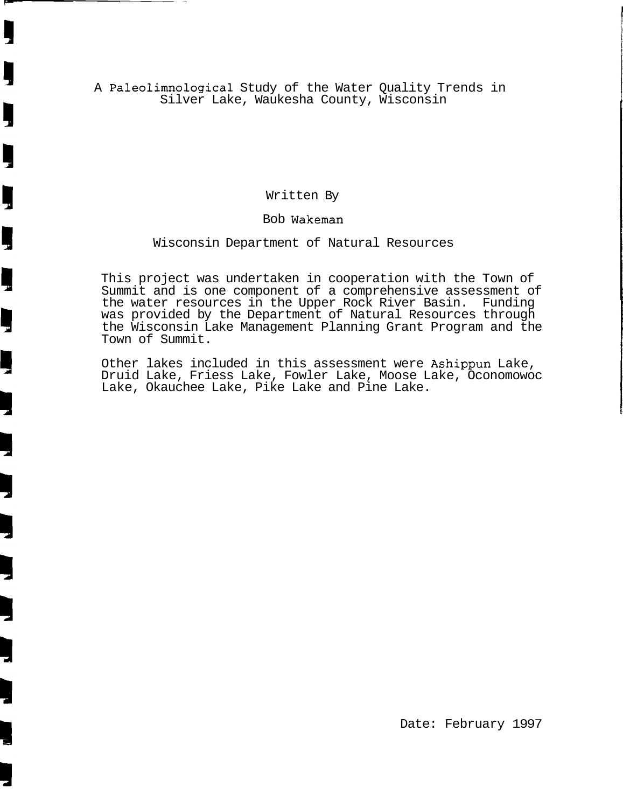A Paleolimnological Study of the Water Quality Trends in Silver Lake, Waukesha County, Wisconsin

J

Ş

Ų

Ļ

Written By

#### Bob Wakeman

#### Wisconsin Department of Natural Resources

This project was undertaken in cooperation with the Town of Summit and is one component of a comprehensive assessment of the water resources in the Upper Rock River Basin. Funding was provided by the Department of Natural Resources through the Wisconsin Lake Management Planning Grant Program and the Town of Summit.

Other lakes included in this assessment were Ashippun Lake, Druid Lake, Friess Lake, Fowler Lake, Moose Lake, Oconomowoc Lake, Okauchee Lake, Pike Lake and Pine Lake.

Date: February 1997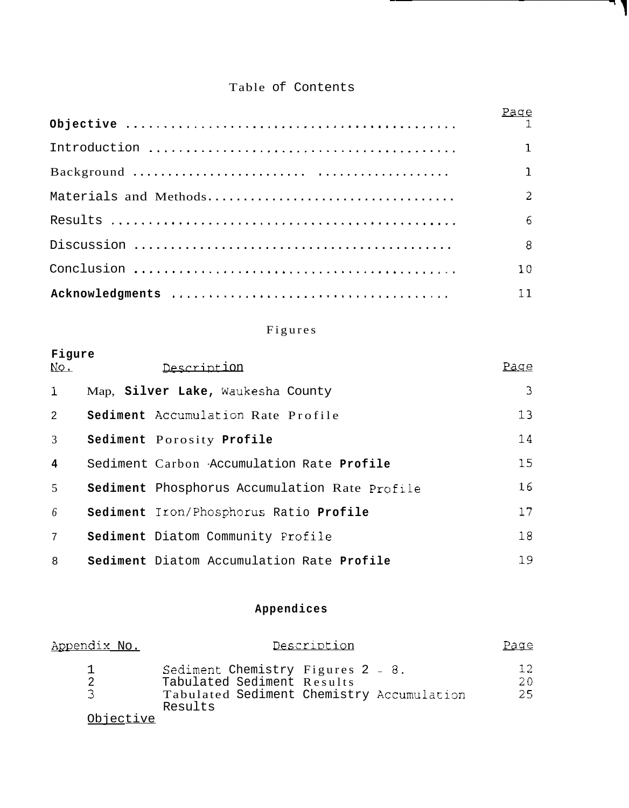## Table of Contents

7 J

| Page            |
|-----------------|
| $\mathbf{1}$    |
| $\mathbf{1}$    |
| 2               |
| 6               |
| 8               |
| 10 <sup>°</sup> |
| 11              |

## Figures

| Figure<br>No.  | Description                                          | Page |
|----------------|------------------------------------------------------|------|
| $\mathbf{1}$   | Map, Silver Lake, Waukesha County                    | 3    |
| $\overline{2}$ | Sediment Accumulation Rate Profile                   | 13   |
| $\mathfrak{Z}$ | Sediment Porosity Profile                            | 14   |
| $\overline{4}$ | Sediment Carbon -Accumulation Rate Profile           | 15   |
| $\mathfrak{S}$ | <b>Sediment</b> Phosphorus Accumulation Rate Profile | 16   |
| 6              | Sediment Iron/Phosphorus Ratio Profile               | 17   |
| $\overline{7}$ | Sediment Diatom Community Profile                    | 18   |
| 8              | Sediment Diatom Accumulation Rate Profile            | 19   |

## **Appendices**

| Appendix No. |                                                                                                                         | Description | Page             |
|--------------|-------------------------------------------------------------------------------------------------------------------------|-------------|------------------|
| 2<br>ス       | Sediment Chemistry Figures 2 - 8.<br>Tabulated Sediment Results<br>Tabulated Sediment Chemistry Accumulation<br>Results |             | 12.<br>20<br>25. |
| Objective    |                                                                                                                         |             |                  |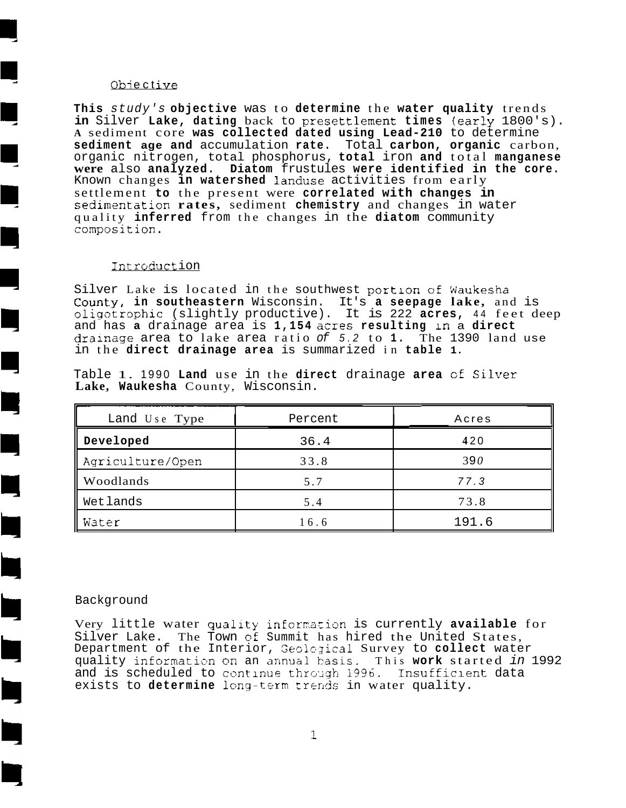#### Obiective

E

Ŋ

 $\Box$ 

 $\blacksquare$ 

I,

**This** study's **objective** was to **determine** the **water quality** trends **in** Silver **Lake, dating** back to presettlement **times** (early 1800's). **<sup>A</sup>**sediment core **was collected dated using Lead-210** to determine **sediment age and** accumulation **rate.** Total **carbon, organic** carbon, organic nitrogen, total phosphorus, **total** iron **and** total **manganese were** also **analyzed. Diatom** frustules **were identified in the core.**  Known changes **in watershed** landuse activities from early settlement **to** the present were **correlated with changes in**  sedimentation **rates**, sediment **chemistry** and changes in water quality **inferred** from the changes in the **diatom** community composition.

#### Introduction

Silver Lake is located in the southwest portion of Waukesha Count-y, **in southeastern** Wisconsin. It's **a seepage lake,** and is oligotrophic (slightly productive). It is 222 acres, 44 feet deep and has **a** drainage area is **1,154** acres **resulting** In a **direct**  dralnage area to lake area ratio of 5.2 to **1.** The 1390 land use in the **direct drainage area** is summarized in **table 1.** 

| Land Use Type    | Percent | Acres |
|------------------|---------|-------|
| Developed        | 36.4    | 420   |
| Agriculture/Open | 33.8    | 390   |
| Woodlands        | 5.7     | 77.3  |
| Wetlands         | 5.4     | 73.8  |
| Water            | 16.6    | 191.6 |

Table 1. 1990 **Land** use in the **direct** drainage **area** cf Sillrer **Lake, Waukesha** County, Wisconsin.

#### Background

Very little water quality information is currently available for Silver Lake. The Town of Summit has hired the United States, Department of the Interior, Geological Survey to collect water quality information on an annual basis. This work started in 1992 and is scheduled to continue through 1996. Insufficient data exists to determine long-term trends in water quality.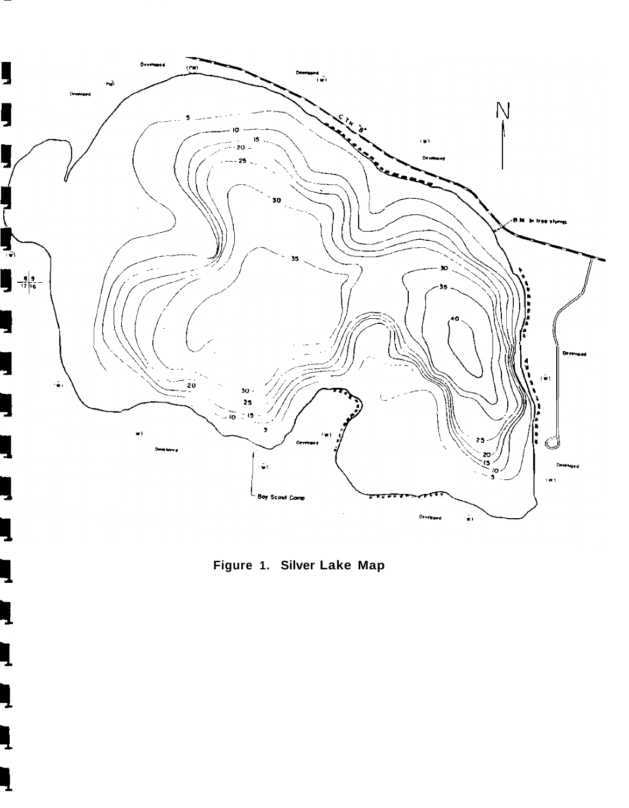

**Figure 1. Silver Lake Map** 

5

Ļ

ą

ı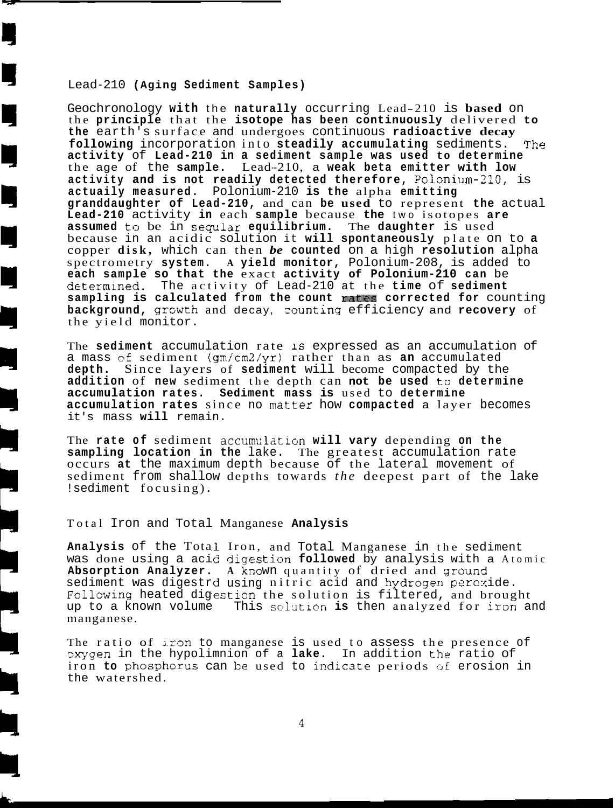#### Lead-210 **(Aging Sediment Samples)**

L

Geochronology **with** the **naturally** occurring Lead-210 is **based** on the **principle** that the **isotope has been continuously** delivered **to the** earth's surface and undergoes continuous **radioactive decay**  following incorporation into steadily accumulating sediments. The **activity** of **Lead-210 in a sediment sample was used to determine**  the age of the sample. Lead-210, a weak beta emitter with low **activity and is not readily detected therefore,** Polonium-2lO, is **actuaily measured.** Polonium-210 **is the** alpha **emitting granddaughter of Lead-210,** and can **be used** to represent **the** actual **Lead-210** activity **in** each **sample** because **the** two isotopes **are assumed** t~ be in seqular **equilibrium.** The **daughter** is used because in an acidic solution it **will spontaneously** plate on to **a**  copper **disk,** which can then *be* **counted** on a high **resolution** alpha spectrometry **system. A yield monitor,** Polonium-208, is added to **each sample so that the** exact **activity of Polonium-210 can** be determined. The activity of Lead-210 at the **time** of sediment **sampling is calculated from the count** rat?s **corrected for** counting **background,** growth and decay, counting efficiency and recovery of the yield monitor.

The **sediment** accumulation rate 1s expressed as an accumulation of a mass cf sediment (gmicm2/yr) rather than as **an** accumulated **depth.** Since layers of **sediment** will become compacted by the **addition** of **new** sediment the depth can **not be used** to **determine accumulation rates. Sediment mass is** used to **determine accumulation rates** since no **mattex** how **compacted** a layer becomes it's mass **will** remain.

The **rate of** sediment **accumulation will vary** depending **on the sampling location in the** lake. The greatest accumulation rate occurs **at** the maximum depth because of the lateral movement of sediment from shallow depths towards *the* deepest part of the lake !sediment focusing) .

#### Total Iron and Total Manganese **Analysis**

Analysis of the Total Iron, and Total Manganese in the sediment was done using a acid digestion followed by analysis with a Atomic Absorption Analyzer. A known quantity of dried and ground sediment was digestrd using nitric acid and hydrogen peroxide. Following heated digestion the solution is filtered, and brought up to a known volume manganese. This solution is then analyzed for iron and

The ratio of iron to manganese is used to assess the presence of pxygen in the hypolimnion of a lake. In addition the ratio of iron **to** phosphorus can be used to indicate periods of erosion in the watershed.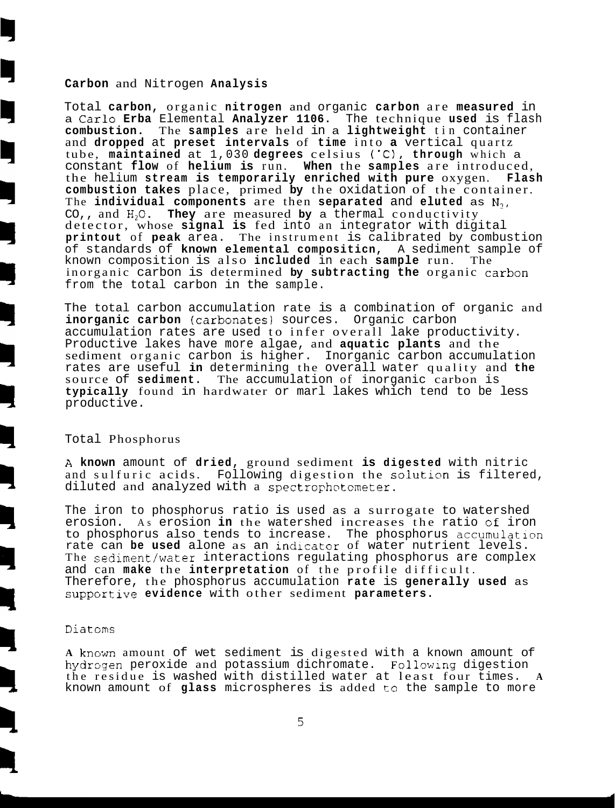#### **Carbon** and Nitrogen **Analysis**

Total **carbon,** organic **nitrogen** and organic **carbon** are **measured** in a **Carlo Erba** Elemental **Analyzer 1106.** The technique **used** is flash **combustion.** The **samples** are held in a **lightweight** tin container and **dropped** at **preset intervals** of **time** into **a** vertical quartz tube, **maintained** at 1,030 **degrees** celsius ('C), **through** which a constant **flow** of **helium is** run. **When** the **samples** are introduced, the helium **stream is temporarily enriched with pure** oxygen. **Flash combustion takes** place, primed **by** the oxidation of the container. The **individual components** are then **separated** and **eluted** as **N1,**  CO,, and H,O. **They** are measured **by** a thermal conductivity detector, whose **signal is** fed into an integrator with digital **printout** of **peak** area. The instrument is calibrated by combustion of standards of **known elemental compositicn,** A sediment sample of known composition is also **included** in each **sample** run. The inorganic carbon is determined by subtracting the organic carbon from the total carbon in the sample.

The total carbon accumulation rate is a combination of organic and **inorganic carbon (carbonates)** sources. Organic carbon accumulation rates are used to infer overall lake productivity. Productive lakes have more algae, and **aquatic plants** and the sediment organic carbon is higher. Inorganic carbon accumulation rates are useful **in** determining the overall water quality and **the**  The accumulation of inorganic carbon is **typically** found in hardwater or marl lakes which tend to be less productive.

#### Total Phosphorus

**h known** amount of **dried,** ground sediment **is digested** with nitric and sulfuric acids. Following digestion the **soluticn** is filtered, diluted and analyzed with a spectrophotometer.

The iron to phosphorus ratio is used as a surrogate to watershed erosion. As erosion **in** the watershed increases the ratio cf iron to phosphorus also tends to increase. The phosphorus accumulation rate can **be used** alone as an indicator of water nutrient levels. The sediment/water interactions regulating phosphorus are complex and can **make** the **interpretation** of the profile difficult. Therefore, the phosphorus accumulation **rate** is **generally used** as **supportive evidence** with other sediment **parameters.** 

#### Diatcms

**A** known amount of wet sediment is digested with a known amount of hydrogen peroxide and potassium dichromate. Following digestion the residue is washed with distilled water at least four times. **<sup>A</sup>** known amount of **glass** microspheres is added to the sample to more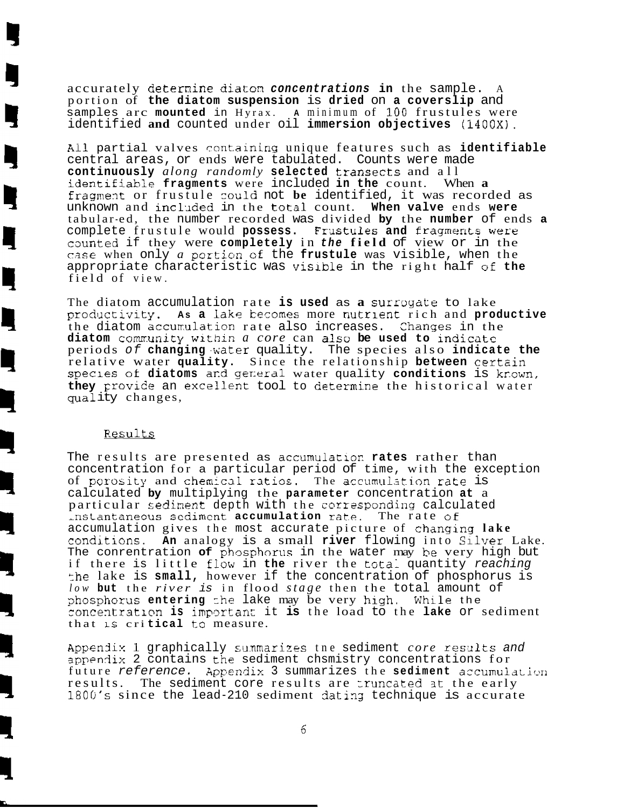accurately deternine **diaton concentrations in** the sample. <sup>A</sup> portion of **the diatom suspension** is **dried** on **a coverslip** and samples arc **mounted** in Hyrax. **A** minimum of **100** frustules were identified **and** counted under oil **immersion objectives (1400X).** 

**Ail** partial valves cont.aining unique features such as **identifiable**  central areas, or ends were tabulated. Counts were made **continuously** *along randomly* **selected** transects and all identifiable fragments were included in the count. When a fragment or frustule could not be identified, it was recorded as unknown and incl.~ded in the total count. **When valve** ends **were**  tabular-ed, the number recorded was divided **by** the **number** of ends **a**  complete frustule would **possess.** Frustules and fragments were caunted if they were **completely** in **the field** of view or in the case when only *a* portion **of** the **frustule** was visible, when the appropriate characteristic was visible in the right half  $\circ$ f the field of view.

The diatom accumulation rate is used as a surroyate to lake productivity. As a lake becomes more nutrient rich and **productive** the diatom accumulation rate also increases. Changes in the diatom community within *a core* can also be used to indicate periods of **changing** ,water quality. The species also **indicate the**  relative water quality. Since the relationship between certain speclcs oi **diatoms a~d** ger:eral water quality **conditions** is kr-own, they provide an excellent tool to determine the historical water qua1 ity changes,

#### Results

Ì

The results are presented as accumulation **rates** rather than concentration for a particular period of time, with the exception of porosity and chemical ratios. The accumulation rate is calculated **by** multiplying the **parameter** concentration **at** a particular *sedinent* depth with the corrssponding calculated Instantaneous sediment accumulation rate. The rate of accumulation gives the most accurate picture of changlng **lake**  conditions. An analogy is a small river flowing into Silver Lake. The conrentration of phosphorus in the water may be very high but if there is little flow in the river the total quantity reaching :he lake is **small,** however if the concentration of phosphorus is *low* **but** the *river* is in flood *stage* then the total amount of phosphorus entering the lake may be very high. While the roncentratl~n **is** irnpm3rtan' it **is** the load to the **lake** or sediment that **LS** cri **tical** t+o measure.

**AppenSix** 1 graphically sunmarizes tne sediment *core* resxlts and appendix 2 contains the sediment chsmistry concentrations for future reference. Appendix 3 summarizes the sediment accumulation results. The sediment core results are truncated at the early 1800's since the lead-210 sediment dating technique is accurate

 $6\overline{6}$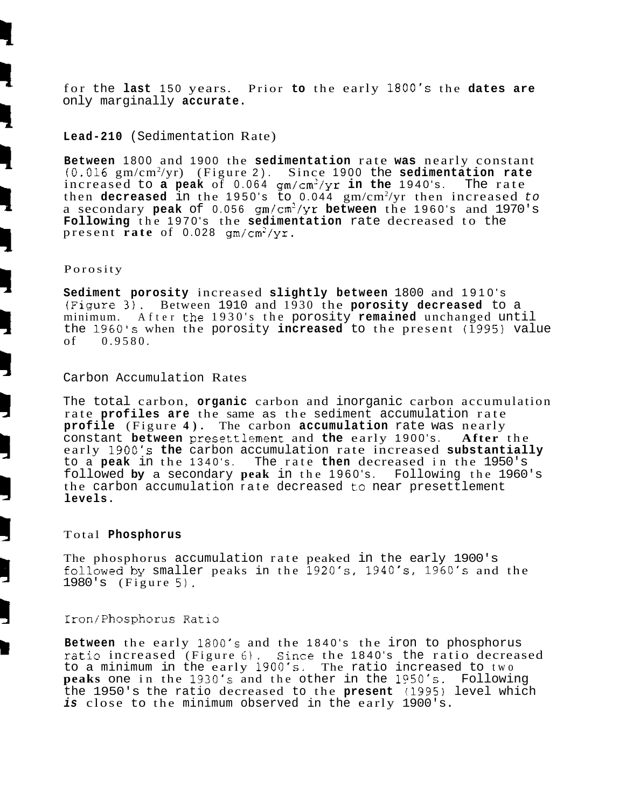for the **last** 150 years. Prior **to** the early 1800's the **dates are**  only marginally **accurate.** 

#### **Lead-210** (Sedimentation Rate)

**Between** 1800 and 1900 the **sedimentation** rate **was** nearly constant 10.016 gm/cm2 /yr) (Figure 2). Since 1900 the **sedimentation rate**  increased to **a peak** of 0.064 gm/cm2/yr **in the** 1940's. The rate then **decreased** in the 1950's to 0.044 gm/cm2 /yr then increased to a secondary peak of 0.056 gm/cm<sup>2</sup>/yr between the 1960's and 1970's **Following** the 1970's the **sedimentation** rate decreased to the present **rate** of 0.028 gm/cm2/yr.

#### Porosity

**Sediment porosity** increased **slightly between** 1800 and 1910's (Figurz 3). Between 1910 and 1930 the **porosity decreased** to a minimum. After the 1930's the porosity **remained** unchanged until the 1960's when the porosity **increased** to the present (1995) value  $0.9580.$ 

#### Carbon Accumulation Rates

The total carbon, **organic** carbon and inorganic carbon accumulation rate **profiles are** the same as the sediment accumulation rate **profile** (Figure **4).** The carbon **accumulation** rate was nearly constant **between** presettlement and the early 1900's. early 1900's **the** carbon accumulation rate increased **substantially**  to a **peak** in the 1340's. The rate **then** decreased in the 1950's followed **by** a secondary **peak** in the 1960's. Following the 1960's the carbon accumulation rate decreased to near presettlement **levels.** 

#### Total **Phosphorus**

The phosphorus accumulation rate peaked in the early 1900's followed by smaller peaks in the 1920's, 1940's, 1960's and the 1980's (Figure 5).

#### Iron/Phosphorus Ratio

**Between** the early 1803's and the 1840's the iron to phosphorus ratio increased (Figure 6). Since the 1840's the ratio decreased to a minimum in the early 1900's. The ratio increased to two **peaks** one in the 1930's and the other in the 1950's. Following the 1950's the ratio decreased to the **present** (1395) level which **is** close to the minimum observed in the early 1900's.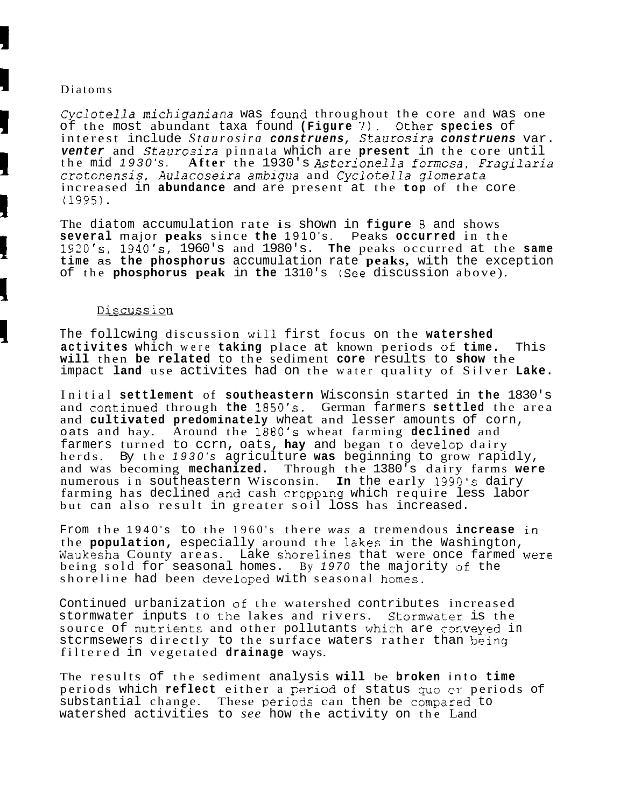#### Diatoms

*Cyclotella michiganiana* was found throughout the core and was one of the most abundant taxa found **(Figure** 7). Oth2r **species** of interest include Staurosira construens, Staurosira construens var. **venter** and *Staurosira* pinnata which are **present** in the core until the mid 1930's. **After** the 1930's **Asterionella** fcrmosa, Fragilaria crotonensis, Aulacoseira *ambigzla* and *Cyclotella glomera* **ta**  increased in **abundance** and are present at the **top** of the core (1995) .

The diatom accumulation rate is shown in **figure** 8 and shows **several** major **peaks** since **the** 1910's. Peaks **occurred** in the 1920fs, **19401s,** 1960's and 1980's. **The** peaks occurred at the **same time** as **the phosphorus** accumulation rate **peaks,** with the exception of the **phosphorus peak** in **the** 1310's *(See* discussion above).

#### Discussion

The follcwing discussion will first focus on the **watershed activites** which were **taking** place at known periods of **time.** This **will** then **be related** to the sediment **core** results to **show** the impact **land** use activites had on the water quality of Silver **Lake.** 

Initial **settlement** of **southeastern** Wisconsin started in **the** 1830's and zontinued through **the** 1850's. German farmers **settled** the area and **cultivated predominately** wheat and lesser amounts of corn, oats and hay. Around the 1880's wheat farming **declined** and farmers turned to ccrn, oats, hay and began to develop dairy herds. By the 1930's agriculture **was** beginning to grow rapidly, and was becoming **mechanized.** Through the 1380's dairy farms **were**  numerous in southeastern Wisconsin. **In** the early 1990's dairy farming has declined and cash **cropplng** which require less labor but can also result in greater soil loss has increased.

From the 1940's to the 1960's there was a tremendous increase in the **population,** especially around the lakes in the Washington, Waukesha County areas. Lake shorelines that were once farmed were being sold for seasonal homes. By 1970 the majority of the shoreline had been developed with seasonal homes.

Continued urbanization of the watershed contributes increased stormwater inputs to the lakes and rivers. Stormwater is the source of nutrients and other pollutants which are conveyed in stcrmsewers directly to the surface waters rather than being filtered in vegetated **drainage** ways.

The results of the sediment analysis **will** be **broken** into **time**  periods which **reflect** either a period of status quo cr periods of substantial change. These periods can then be compared to watershed activities to *see* how the activity on the Land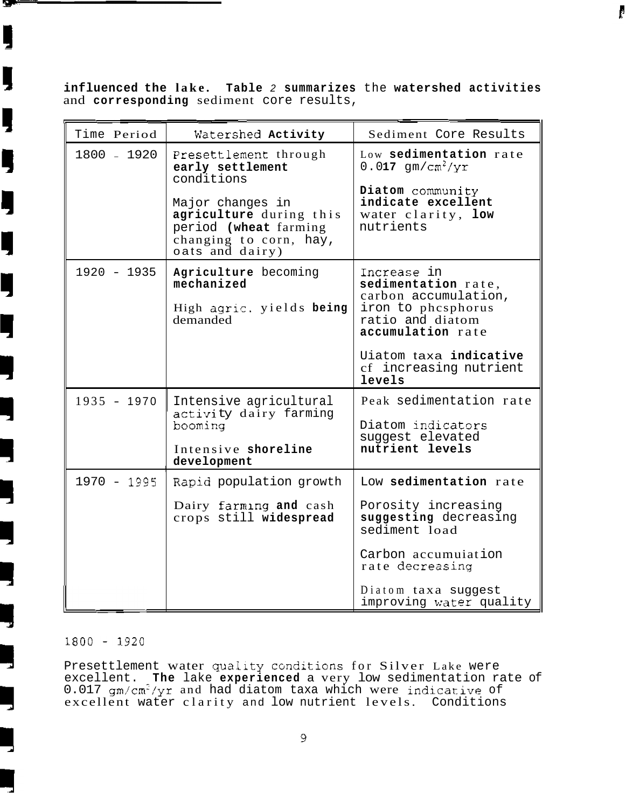**influenced the lake. Table** 2 **summarizes** the **watershed activities**  and **corresponding** sediment core results,

ŀ

| Time Period   | Watershed Activity                                                                                                | Sediment Core Results                                                                                                     |
|---------------|-------------------------------------------------------------------------------------------------------------------|---------------------------------------------------------------------------------------------------------------------------|
| 1800 - 1920   | Presettlement through<br>early settlement<br>conditions                                                           | Low sedimentation rate<br>$0.017$ qm/cm <sup>2</sup> /yr<br>Diatom community                                              |
|               | Major changes in<br>agriculture during this<br>period (wheat farming<br>changing to corn, hay,<br>oats and dairy) | indicate excellent<br>water clarity, low<br>nutrients                                                                     |
| 1920 - 1935   | Agriculture becoming<br>mechanized<br>High agric. yields being<br>demanded                                        | Increase in<br>sedimentation rate,<br>carbon accumulation,<br>iron to phesphorus<br>ratio and diatom<br>accumulation rate |
|               |                                                                                                                   | Uiatom taxa indicative<br>cf increasing nutrient<br>levels                                                                |
| $1935 - 1970$ | Intensive agricultural<br>activity dairy farming<br>booming                                                       | Peak sedimentation rate<br>Diatom indicators<br>suggest elevated                                                          |
|               | Intensive shoreline<br>development                                                                                | nutrient levels                                                                                                           |
| 1970 - 1995   | Rapid population growth                                                                                           | Low sedimentation rate                                                                                                    |
|               | Dairy farming and cash<br>crops still widespread                                                                  | Porosity increasing<br>suggesting decreasing<br>sediment load                                                             |
|               |                                                                                                                   | Carbon accumuiation<br>rate decreasing                                                                                    |
|               |                                                                                                                   | Diatom taxa suggest<br>improving water quality                                                                            |

#### $1800 - 1920$

У

IJ

Į

Į

Ŋ

Ę

Ŋ

ij

Presettlement water quality conditions for Silver Lake were excellent. **The** lake **experienced** a very low sedimentation rate of  $0.017$  gm/cm<sup>2</sup>/yr and had diatom taxa which were indicative of excellent water clarity and low nutrient levels. Conditions

 $\overline{9}$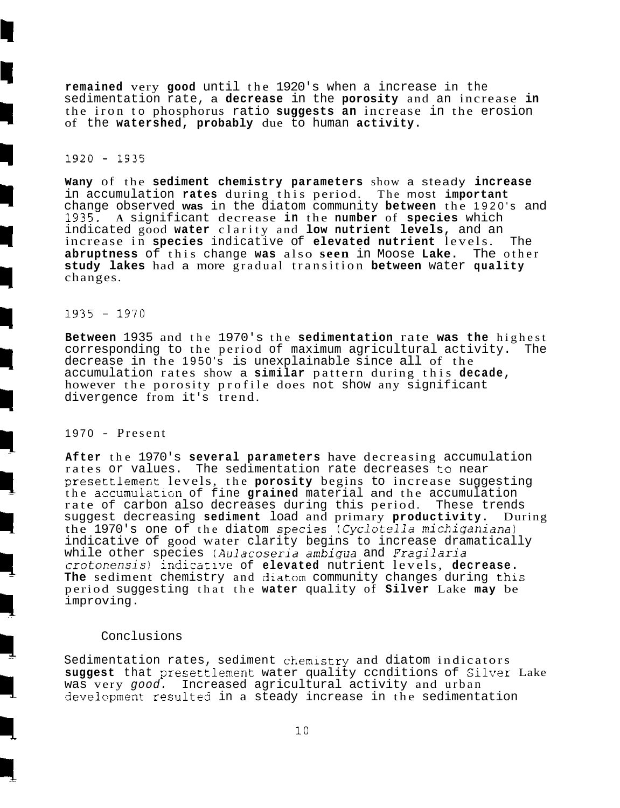**remained** very **good** until the 1920's when a increase in the sedimentation rate, a **decrease** in the **porosity** and an increase **in**  the iron to phosphorus ratio **suggests an** increase in the erosion of the **watershed, probably** due to human **activity.** 

#### $1920 - 1935$

**Wany** of the **sediment chemistry parameters** show a steady **increase**  in accumulation **rates** during this period. The most **important**  change observed **was** in the diatom community **between** the 1920's and 1935. **A** significant decrease **in** the **number** of **species** which indicated good **water** clarity and **low nutrient levels,** and an increase in **species** indicative of **elevated nutrient** levels. The **abruptness** of this change **was** also **seen** in Moose **Lake.** The other **study lakes** had a more gradual transition **between** water **quality**  changes.

#### $1935 - 1970$

**Between** 1935 and the 1970's the **sedimentation** rate **was the** highest corresponding to the period of maximum agricultural activity. The decrease in the 1950's is unexplainable since all of the accumulation rates show a **similar** pattern during this **decade,**  however the porosity profile does not show any significant divergence from it's trend.

#### 1970 - Present

**After** the 1970's **several parameters** have decreasing accumulation rates or values. The sedimentation rate decreases to near presettlement levels, the **porosity** begins to increase suggesting the accumulation of fine **grained** material and the accumulation rate of carbon also decreases during this period. These trends<br>suggest decreasing sediment load and primary productivity. During suggest decreasing sediment load and primary productivity. the 1970's one of the diatom species (Cyclotella michiganiana) indicative of good water clarity begins to increase dramatically while other species *(Aulazoseria ambigua* and **Fragilaria**  *crotonensis)* indicative of **elevated** nutrient levels, **decrease.**  The sediment chemistry and diatom community changes during this period suggesting that the **water** quality of **Silver** Lake **may** be improving.

#### Conclusions

Sedimentation rates, sediment chemistry and diatom indicators suggest that presettlement water quality conditions of Silver Lake was very good. Increased agricultural activity and urban development resulted in a steady increase in the sedimentation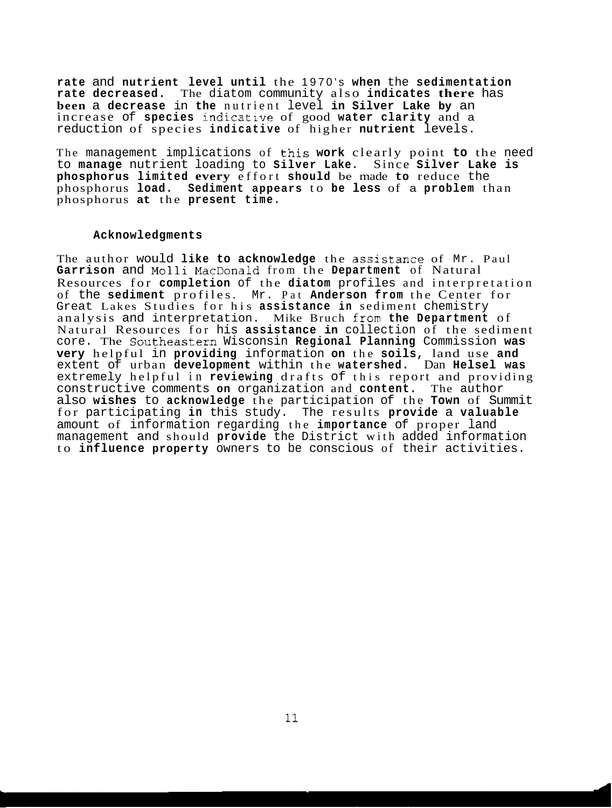**rate** and **nutrient level until** the 1970's **when** the **sedimentation rate decreased.** The diatom community also **indicates there** has **been** a **decrease** in **the** nutrient level **in Silver Lake by** an increase of **species** indicative of good **water clarity** and a reduction of species **indicative** of higher **nutrient** levels.

The management implications of this work clearly point to the need to **manage** nutrient loading to **Silver Lake.** Since **Silver Lake is phosphorus limited every** effort **should** be made **to** reduce the phosphorus **load. Sediment appears** to **be less** of a **problem** than phosphorus **at** the **present time.** 

#### **Acknowledgments**

The author would **like to acknowledge** the assistance of Mr. Paul **Garrison** and **Molli** MacDonald from the **Department** of Natural Resources for **completion** of the **diatom** profiles and interpretation of the **sediment** profiles. Mr. Pat **Anderson from** the Center for Great Lakes Studies for his **assistance in** sediment chemistry analysis and interpretation. Mike Bruch from the Department of Natural Resources for his **assistance in** collection of the sediment core. The Southeastem Wisconsin **Regional Planning** Commission **was very** helpful in **providing** information **on** the **soils,** land use **and**  extent of urban **development** within the **watershed.** Dan **Helsel was**  extremely helpful in **reviewing** drafts of this report and providing constructive comments **on** organization and **content.** The author also **wishes** to **acknowledge** the participation of the **Town** of Summit for participating **in** this study. The results **provide** a **valuable**  amount of information regarding the **importance** of proper land management and should **provide** the District with added information to **influence property** owners to be conscious of their activities.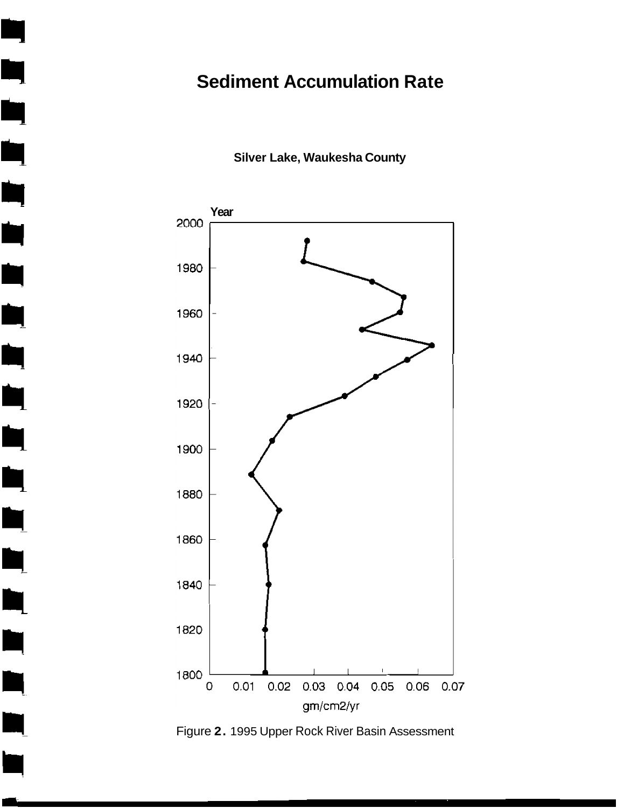## **Sediment Accumulation Rate**

**Silver Lake, Waukesha County** 

Ŋ

Ŋ

Ŋ

Ŋ

Ŋ

L

 $\blacksquare$ 



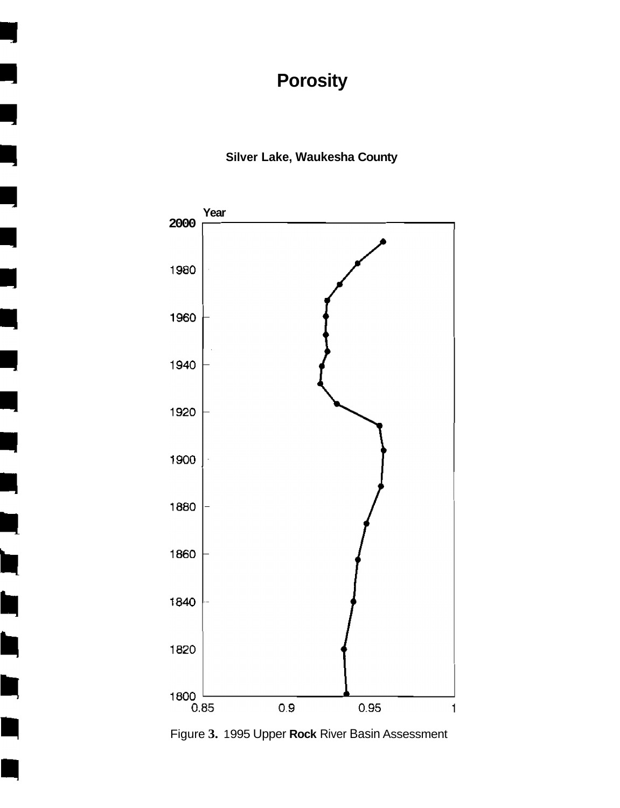# **Porosity**

## **Silver Lake, Waukesha County**



٦

h

 $\blacksquare$ 

þ

È

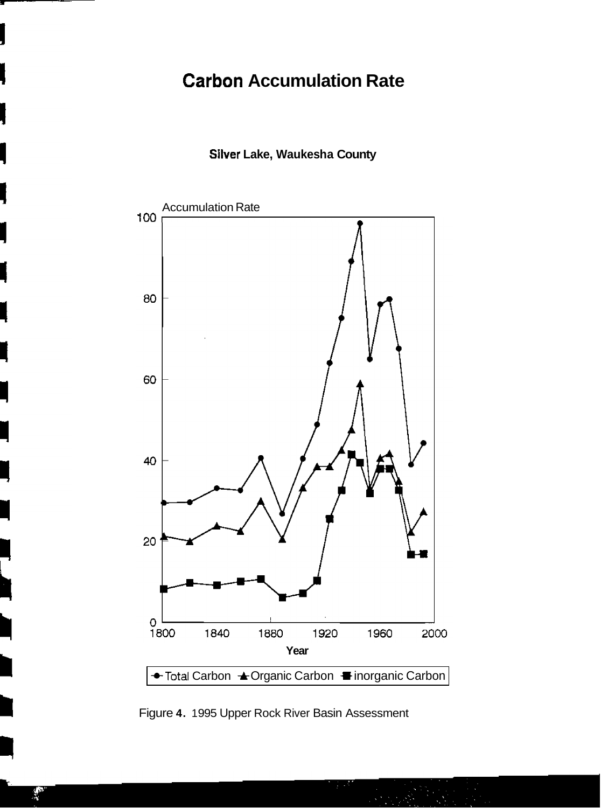## **Carbon Accumulation Rate**

### **Silver Lake, Waukesha County**



Figure **4.** 1 995 Upper Rock River Basin Assessment

k∲<br>S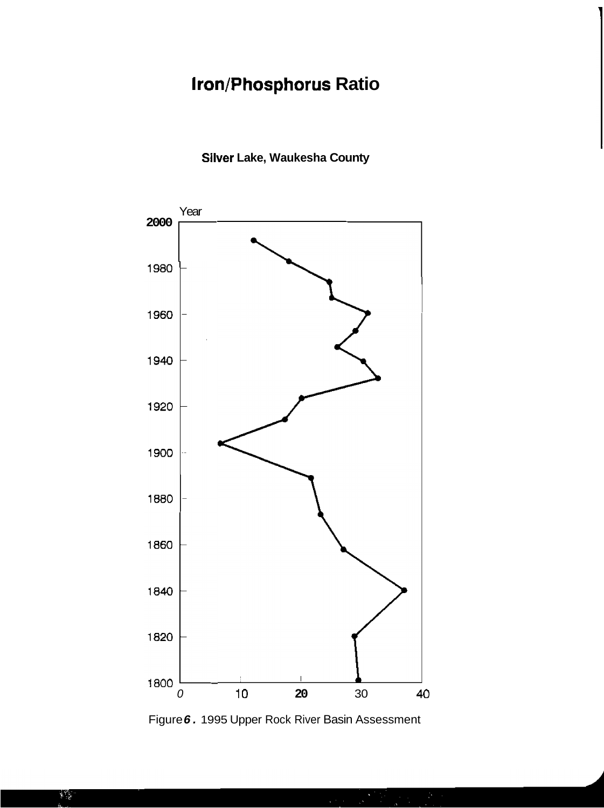# **Iron/Phosphorus Ratio**

## **Silver Lake, Waukesha County**



Figure **6.** 1995 Upper Rock River Basin Assessment

 $\mathbf{1}$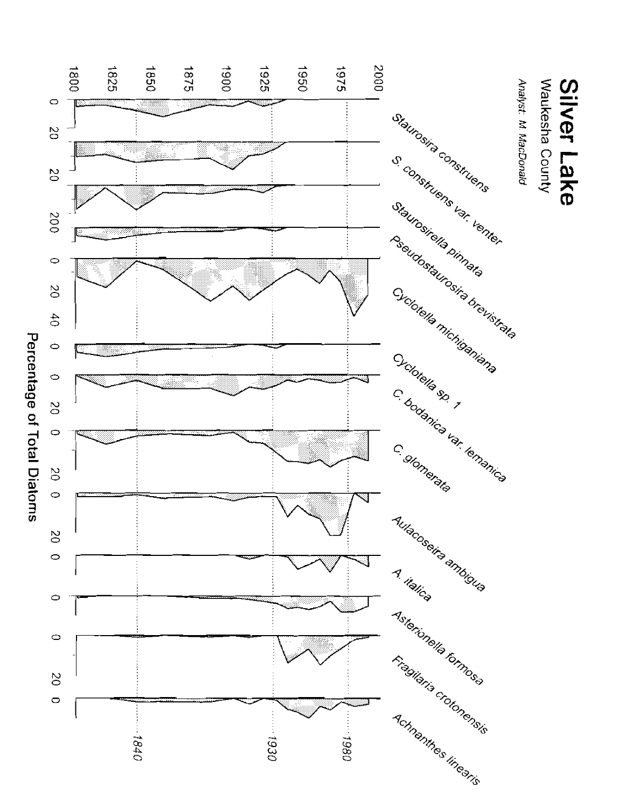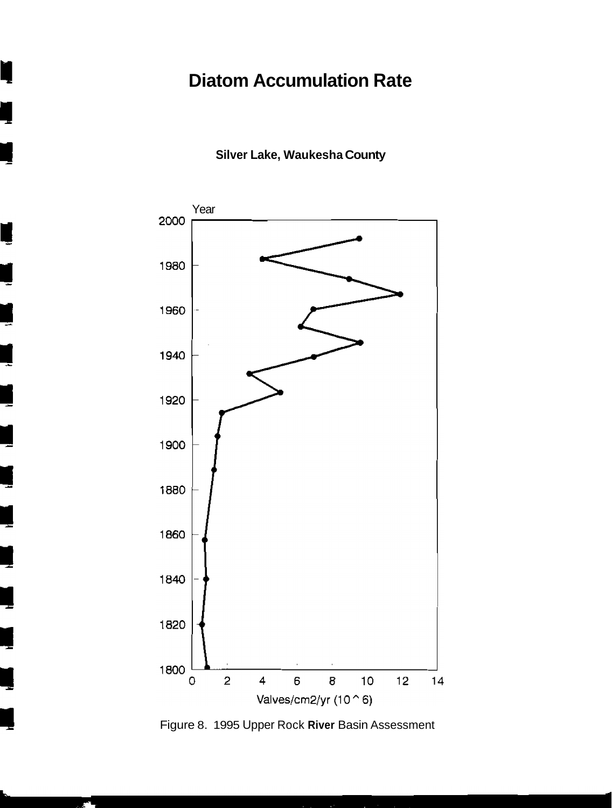# **Diatom Accumulation Rate**

**Silver Lake, Waukesha County** 

ı



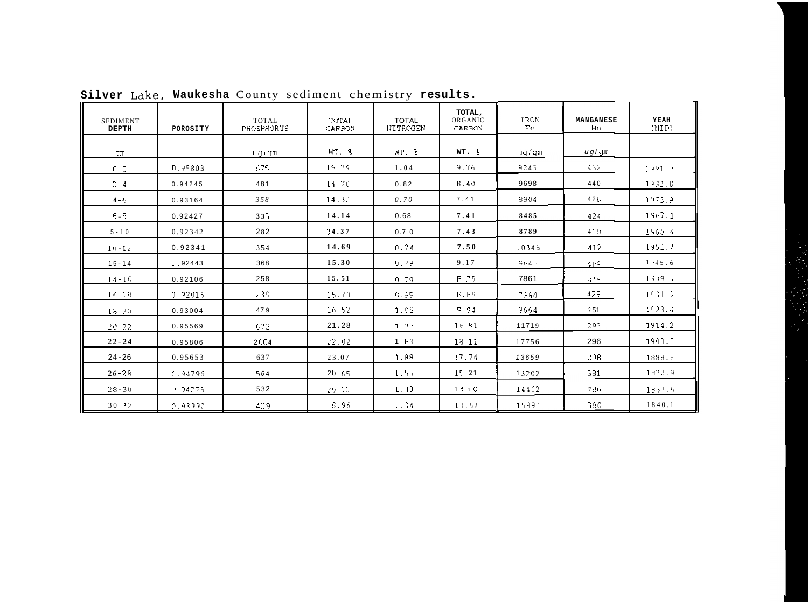|                          |          | Silver Lake, Waukesha County sediment chemistry results. |                 |                                 |                             |            |                 |               |
|--------------------------|----------|----------------------------------------------------------|-----------------|---------------------------------|-----------------------------|------------|-----------------|---------------|
| SEDIMENT<br><b>DEPTH</b> | POROSITY | <b>TOTAL</b><br>PHOSPHORUS                               | TOTAL<br>CARRON | <b>TOTAL</b><br><b>NITROGEN</b> | TOTAL,<br>ORGANIC<br>CARBON | IRON<br>Fe | MANGANESE<br>Mn | YEAH<br>(MID) |
| CID.                     |          | $u \alpha$ am                                            | $WT = 3$        | $WT.$ $8$                       | $WT.$ $\frac{9}{5}$         | ug/gm      | $u g i$ am      |               |
| $0 - 7$                  | D.95803  | 675.                                                     | 15.79           | 1.04                            | 9.76                        | 8243       | 432             | $1091 - 1$    |
| $\mathbb{C}-4$           | 0.94245  | 481                                                      | 14.70           | 0.82                            | 8.40                        | 9698       | 440             | 1982.6        |
| $4 - 5$                  | 0.93164  | 358                                                      | 14.32           | 0.70                            | 7.41                        | 8904       | 426             | 1973.9        |
| $6 - B$                  | 0.92427  | 335                                                      | 14.14           | 0.68                            | 7.41                        | 8485       | 424             | 1967.1        |
| $5 - 10$                 | 0.92342  | 282                                                      | 24.37           | 0.70                            | 7.43                        | 8789       | 410             | 1960.4        |
| $10 - 12$                | 0.92341  | 354                                                      | 14.69           | 0.74                            | 7.50                        | 10345      | 412             | 1952.7        |
| $15 - 14$                | 0.92443  | 368                                                      | 15.30           | 0.79                            | 9.17                        | 9645       | 409.            | 1145.6        |
| $14 - 16$                | 0.92106  | 258                                                      | 15.51           | 0.79                            | B 29                        | 7861       | -379.           | $1939 - 3$    |
| 16 18                    | 0.92016  | 239                                                      | 15.70           | 0.85                            | <b>8.69</b>                 | 7360       | 429             | $1931 - 7$    |
| $15 - 20$                | 0.93004  | 479                                                      | 16.52           | 1.05                            | 0.94                        | 9664       | ?51             | 1923.4        |
| $20 - 22$                | 0.95569  | 672.                                                     | 21.28           | 1.78                            | 16.81                       | 11719      | 293             | 1914.2        |
| $22 - 24$                | 0.95806  | 2004                                                     | 22.02           | $1 - 63$                        | 1311                        | 17756      | 296             | 1903.8        |
| $24 - 26$                | 0.95653  | 637                                                      | 23.07           | 1.88                            | 17.74                       | 13659      | 298             | 1898.8        |
| $26 - 28$                | 0.94796  | 564                                                      | $2b$ $65$       | 1.55                            | 1521                        | 13202      | 381             | 1872.9        |
| $28 - 30$                | 0.94275  | 532                                                      | 20-12           | 1.43                            | 1110                        | 14462      | 786             | 1857.6        |
| 30 32                    | 0.93990  | 429.                                                     | 18.96           | 1.34                            | 13.67                       | 15890      | 380             | 1840.1        |

Silver Lake, Waukesha County sediment chemistry results.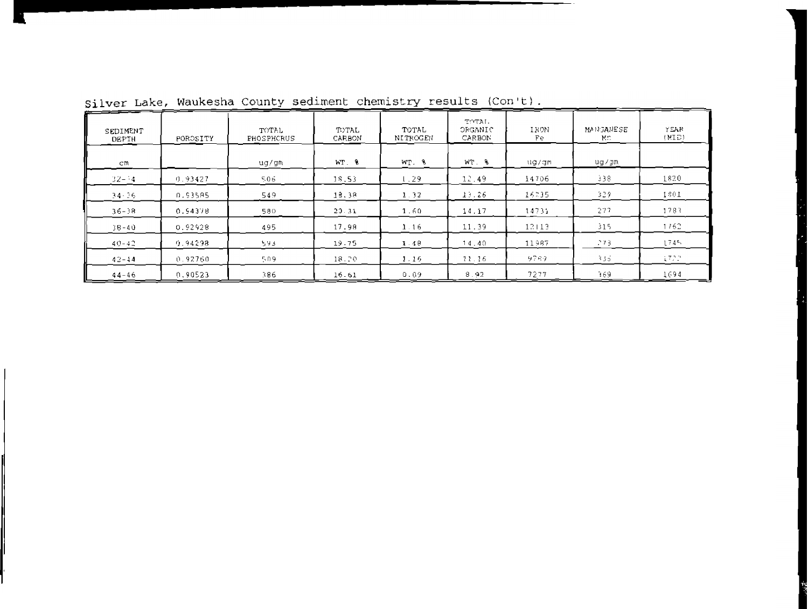| SEDIMENT<br>DEPTH | POROSITY | TOTAL<br><b>FHOSPHCRUS</b> | TOTAL<br>CARBON | TOTAL<br><b>NITROGEN</b> | TOTAL.<br>OEGANIC<br>CARBON | IRON<br>Fe | MANGANESE<br>Mr. | <b>YEAR</b><br>(MLD) |
|-------------------|----------|----------------------------|-----------------|--------------------------|-----------------------------|------------|------------------|----------------------|
| cm.               |          | ug/gm                      | WT. 9           | WT. 8                    | WT. &                       | uq/qm      | ug/gm            |                      |
| $32 - 34$         | 0.93427  | 506                        | 18.53           | 1.29                     | 12.49                       | 14706      | 338              | 1820                 |
| 34-36             | 0.93585  | 549                        | 18.38           | 1.32                     | 13.26                       | 16235      | 329.             | 1801                 |
| $36 - 38$         | 0.5437B  | 580                        | 20.31           | 1.60                     | 14.17                       | 14731      | 277              | 1783                 |
| $38 - 40$         | 0.92928  | 495                        | 17.98           | 1.16                     | 11.39                       | 12113      | 315              | 1762                 |
| $40 - 42$         | 0.94298  | 593.                       | 19.75           | 1.48                     | 14.40                       | 11987      | 273.             | 1745.                |
| $42 - 14$         | 0.92760  | 509                        | 18.70           | 1.16                     | 11.16                       | 9789       | 335.             | 1722                 |
| $44 - 46$         | 0.90523  | 386.                       | 16.61           | 0.09                     | 8.92                        | 7277       | 169.             | 1694                 |

Silver Lake, Waukesha County sediment chemistry results (Con't).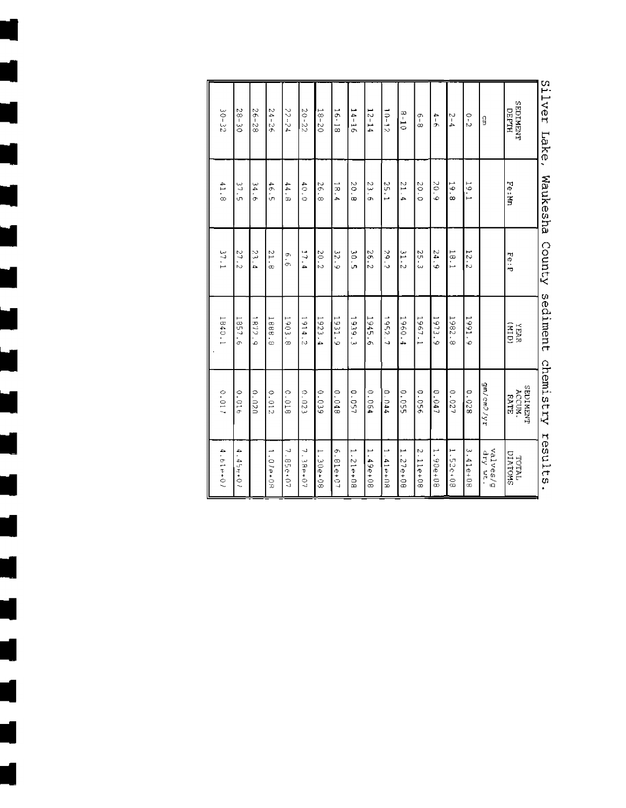| Silver<br>Lake,                | Waukesha                       | County   | sediment       | chemistry                  | results                        |
|--------------------------------|--------------------------------|----------|----------------|----------------------------|--------------------------------|
| <b>TYEMIOS</b><br><b>DEPTH</b> | Fe:P                           | Fe:P     | <b>THIPI</b>   | SEDINENT<br>ACCUN.<br>RATE | TOTAL<br>UIATOMS               |
| G                              |                                |          |                | aw/cwo/w6                  | valves/g<br>an Arp             |
| o<br>N                         | 5<br>i<br>H                    | $12 - 2$ | 1661.<br>ю     | 82010                      | ب<br>41e+08                    |
| $5 - 4$                        | 19.88                          | 1.8.1    | 1982.8         | 0.027                      | ⊷<br><b>52e+08</b>             |
| $\frac{4}{3}$                  | 20.9                           | 24.9     | 1973.9         | 0.047                      | 1.90++08                       |
| $\frac{9}{8}$                  | 20.0                           | 25.3     | 1967.1         | 95010                      | N<br>11e+08                    |
| $01 - 8$                       | $\overline{1}$<br>.<br>ح       | 31.2     | 1960.4         | 0.055                      | ш<br>27e+08                    |
| $10 - 12$                      | 25.1                           | 2.9.7    | 1952.7         | 0.044                      | $1.41$ $\leftrightarrow$ $19.$ |
| $12 - 14$                      | $\tilde{\tilde{\omega}}$<br>ō. | 2.6.2    | 1945.6         | 0.064                      | مبر<br>.49e+08                 |
| $14 - 16$                      | ŏ<br>œ                         | 30.5     | 1939.3         | 05.7                       | Ľ<br>$80 + 912$                |
| $16 - 18$                      | 18.4                           | 6.25     | 1931.9         | 0.048                      | ò.<br>81e+07                   |
| $18 - 20$                      | 97<br>.<br>∞                   | 20.2     | 1923<br>.<br>م | 039                        | 30+908                         |
| $20 - 22$                      | 40.0                           | 17.44    | 1914.2         | 0.023                      | J<br>$196+07$                  |
| 77-24                          | 44.8                           | o<br>O   | 1903.8         | 0.018                      | J,<br>85e+07                   |
| $24 - 26$                      | 46.5                           | 81.6     | 1888<br>.<br>œ | 0.012                      | ∸<br>$01 - 08$                 |
| $36 - 28$                      | $\tilde{\mathbf{z}}$<br>٠<br>م | 23.4     | 1872.9         | 0.020                      |                                |
| $28 - 30$                      | 37.5                           | 27.2     | 1857<br>.<br>O | 0.016                      | ٠<br>$45 + 01$                 |
| $30 - 32$                      | 41.8                           | 37.1     | 1840           | 0.017                      | 4.61e+07                       |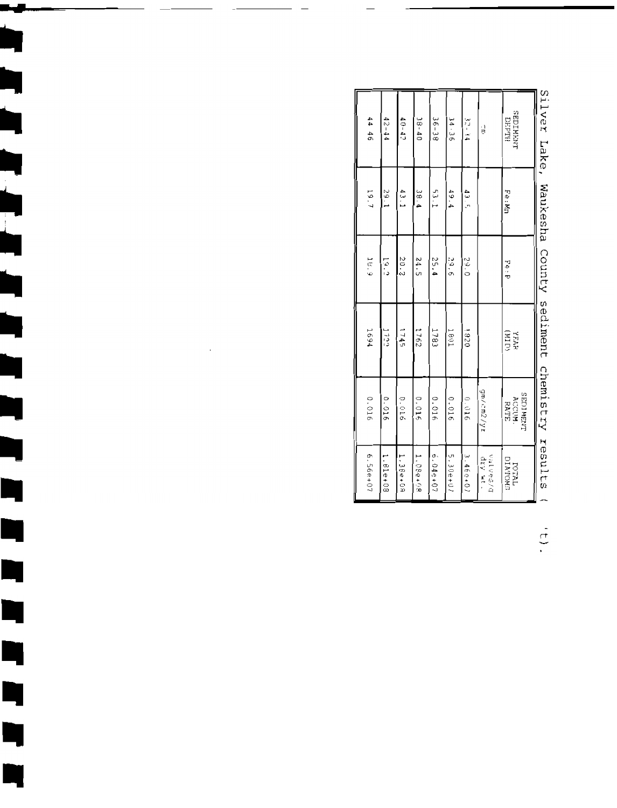| 6.56e+07             | 0.016                              | 1691       | 18.9          | 19.7     | 44 46                                 |
|----------------------|------------------------------------|------------|---------------|----------|---------------------------------------|
| 1.81e+08             | 910.0                              | 1729       | $\frac{1}{2}$ | 1.65     | $12 - 44$                             |
| 1.38e+08             | 0.016                              | 1745       | 20.2          | 43.1     | $(0 - 4)$                             |
| 1.08e+08             | 0.016                              | 2941       | 24.5          | 38.4     | $18 - 40$                             |
| $6.049 + 07$         | 0.016                              | 1783       | 55.4          | $53 - 1$ | 36-38                                 |
| 5.30e+07             | 0.016                              | INAI       | 9.95          | 49.4     | $34 - 36$                             |
| 3.460+07             | 0.016                              | 0281       | 0.62          | da<br>C  | $\mathbf{r}$ is a set of $\mathbf{r}$ |
| b/sasina<br>the vite | gm/cm2/yt                          |            |               |          | )<br>공                                |
| LATOTAL<br>LATON     | <b>THEM LOSS</b><br>ACCUM.<br>RATE | <b>ENR</b> | コウ            | Fe:Mn    | <b>TAGNIQSS</b><br><b>PEPTH</b>       |
|                      |                                    |            |               |          |                                       |

ل کا

Þ

D

 $\blacksquare$ 

 $\blacksquare$ 

Ŋ

Ŋ

Ŋ

Ļ

I

Silver Lake, Waukesha County sediment chemistry results (

 $\frac{1}{2}$